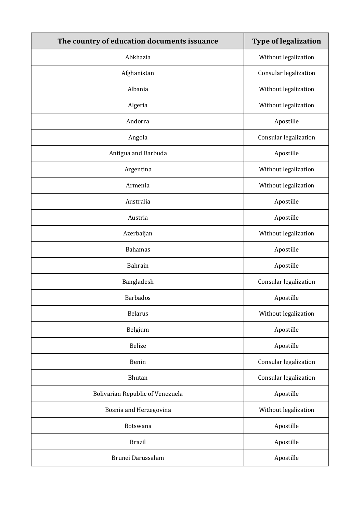| The country of education documents issuance | <b>Type of legalization</b> |
|---------------------------------------------|-----------------------------|
| Abkhazia                                    | Without legalization        |
| Afghanistan                                 | Consular legalization       |
| Albania                                     | Without legalization        |
| Algeria                                     | Without legalization        |
| Andorra                                     | Apostille                   |
| Angola                                      | Consular legalization       |
| Antigua and Barbuda                         | Apostille                   |
| Argentina                                   | Without legalization        |
| Armenia                                     | Without legalization        |
| Australia                                   | Apostille                   |
| Austria                                     | Apostille                   |
| Azerbaijan                                  | Without legalization        |
| <b>Bahamas</b>                              | Apostille                   |
| Bahrain                                     | Apostille                   |
| Bangladesh                                  | Consular legalization       |
| <b>Barbados</b>                             | Apostille                   |
| <b>Belarus</b>                              | Without legalization        |
| Belgium                                     | Apostille                   |
| Belize                                      | Apostille                   |
| Benin                                       | Consular legalization       |
| Bhutan                                      | Consular legalization       |
| <b>Bolivarian Republic of Venezuela</b>     | Apostille                   |
| Bosnia and Herzegovina                      | Without legalization        |
| Botswana                                    | Apostille                   |
| <b>Brazil</b>                               | Apostille                   |
| Brunei Darussalam                           | Apostille                   |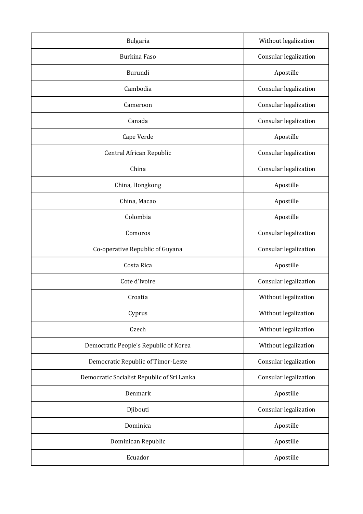| Bulgaria                                   | Without legalization  |
|--------------------------------------------|-----------------------|
| <b>Burkina Faso</b>                        | Consular legalization |
| Burundi                                    | Apostille             |
| Cambodia                                   | Consular legalization |
| Cameroon                                   | Consular legalization |
| Canada                                     | Consular legalization |
| Cape Verde                                 | Apostille             |
| Central African Republic                   | Consular legalization |
| China                                      | Consular legalization |
| China, Hongkong                            | Apostille             |
| China, Macao                               | Apostille             |
| Colombia                                   | Apostille             |
| Comoros                                    | Consular legalization |
| Co-operative Republic of Guyana            | Consular legalization |
| Costa Rica                                 | Apostille             |
| Cote d'Ivoire                              | Consular legalization |
| Croatia                                    | Without legalization  |
| Cyprus                                     | Without legalization  |
| Czech                                      | Without legalization  |
| Democratic People's Republic of Korea      | Without legalization  |
| Democratic Republic of Timor-Leste         | Consular legalization |
| Democratic Socialist Republic of Sri Lanka | Consular legalization |
| Denmark                                    | Apostille             |
| Djibouti                                   | Consular legalization |
| Dominica                                   | Apostille             |
| Dominican Republic                         | Apostille             |
| Ecuador                                    | Apostille             |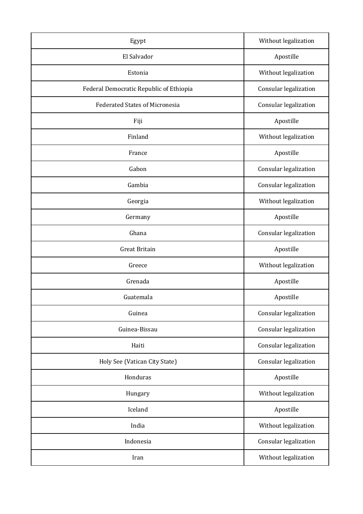| Egypt                                   | Without legalization  |
|-----------------------------------------|-----------------------|
| El Salvador                             | Apostille             |
| Estonia                                 | Without legalization  |
| Federal Democratic Republic of Ethiopia | Consular legalization |
| <b>Federated States of Micronesia</b>   | Consular legalization |
| Fiji                                    | Apostille             |
| Finland                                 | Without legalization  |
| France                                  | Apostille             |
| Gabon                                   | Consular legalization |
| Gambia                                  | Consular legalization |
| Georgia                                 | Without legalization  |
| Germany                                 | Apostille             |
| Ghana                                   | Consular legalization |
| <b>Great Britain</b>                    | Apostille             |
| Greece                                  | Without legalization  |
| Grenada                                 | Apostille             |
| Guatemala                               | Apostille             |
| Guinea                                  | Consular legalization |
| Guinea-Bissau                           | Consular legalization |
| Haiti                                   | Consular legalization |
| Holy See (Vatican City State)           | Consular legalization |
| Honduras                                | Apostille             |
| Hungary                                 | Without legalization  |
| Iceland                                 | Apostille             |
| India                                   | Without legalization  |
| Indonesia                               | Consular legalization |
| Iran                                    | Without legalization  |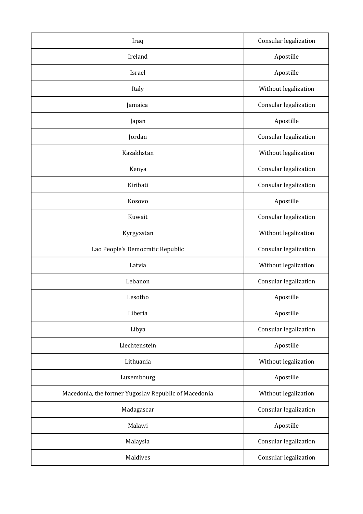| Iraq                                                 | Consular legalization |
|------------------------------------------------------|-----------------------|
| Ireland                                              | Apostille             |
| Israel                                               | Apostille             |
| Italy                                                | Without legalization  |
| Jamaica                                              | Consular legalization |
| Japan                                                | Apostille             |
| Jordan                                               | Consular legalization |
| Kazakhstan                                           | Without legalization  |
| Kenya                                                | Consular legalization |
| Kiribati                                             | Consular legalization |
| Kosovo                                               | Apostille             |
| Kuwait                                               | Consular legalization |
| Kyrgyzstan                                           | Without legalization  |
| Lao People's Democratic Republic                     | Consular legalization |
| Latvia                                               | Without legalization  |
| Lebanon                                              | Consular legalization |
| Lesotho                                              | Apostille             |
| Liberia                                              | Apostille             |
| Libya                                                | Consular legalization |
| Liechtenstein                                        | Apostille             |
| Lithuania                                            | Without legalization  |
| Luxembourg                                           | Apostille             |
| Macedonia, the former Yugoslav Republic of Macedonia | Without legalization  |
| Madagascar                                           | Consular legalization |
| Malawi                                               | Apostille             |
| Malaysia                                             | Consular legalization |
| Maldives                                             | Consular legalization |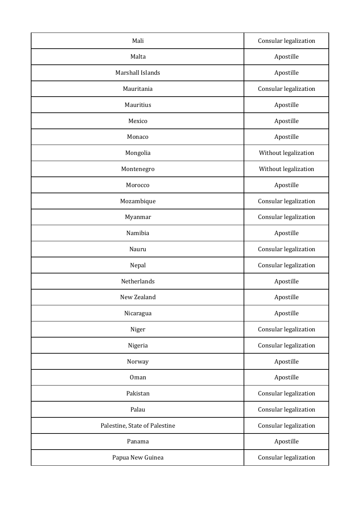| Mali                          | Consular legalization |
|-------------------------------|-----------------------|
| Malta                         | Apostille             |
| Marshall Islands              | Apostille             |
| Mauritania                    | Consular legalization |
| Mauritius                     | Apostille             |
| Mexico                        | Apostille             |
| Monaco                        | Apostille             |
| Mongolia                      | Without legalization  |
| Montenegro                    | Without legalization  |
| Morocco                       | Apostille             |
| Mozambique                    | Consular legalization |
| Myanmar                       | Consular legalization |
| Namibia                       | Apostille             |
| Nauru                         | Consular legalization |
| Nepal                         | Consular legalization |
| Netherlands                   | Apostille             |
| New Zealand                   | Apostille             |
| Nicaragua                     | Apostille             |
| Niger                         | Consular legalization |
| Nigeria                       | Consular legalization |
| Norway                        | Apostille             |
| Oman                          | Apostille             |
| Pakistan                      | Consular legalization |
| Palau                         | Consular legalization |
| Palestine, State of Palestine | Consular legalization |
| Panama                        | Apostille             |
| Papua New Guinea              | Consular legalization |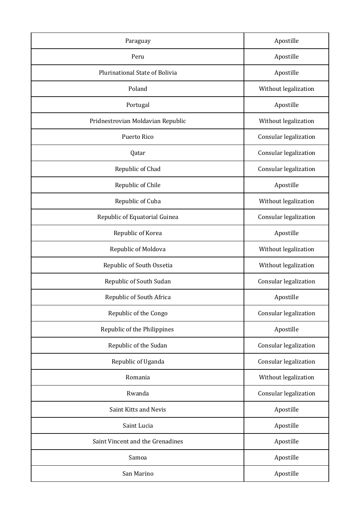| Paraguay                          | Apostille             |
|-----------------------------------|-----------------------|
| Peru                              | Apostille             |
| Plurinational State of Bolivia    | Apostille             |
| Poland                            | Without legalization  |
| Portugal                          | Apostille             |
| Pridnestrovian Moldavian Republic | Without legalization  |
| Puerto Rico                       | Consular legalization |
| Qatar                             | Consular legalization |
| Republic of Chad                  | Consular legalization |
| Republic of Chile                 | Apostille             |
| Republic of Cuba                  | Without legalization  |
| Republic of Equatorial Guinea     | Consular legalization |
| Republic of Korea                 | Apostille             |
| Republic of Moldova               | Without legalization  |
| Republic of South Ossetia         | Without legalization  |
| Republic of South Sudan           | Consular legalization |
| Republic of South Africa          | Apostille             |
| Republic of the Congo             | Consular legalization |
| Republic of the Philippines       | Apostille             |
| Republic of the Sudan             | Consular legalization |
| Republic of Uganda                | Consular legalization |
| Romania                           | Without legalization  |
| Rwanda                            | Consular legalization |
| Saint Kitts and Nevis             | Apostille             |
| Saint Lucia                       | Apostille             |
| Saint Vincent and the Grenadines  | Apostille             |
| Samoa                             | Apostille             |
| San Marino                        | Apostille             |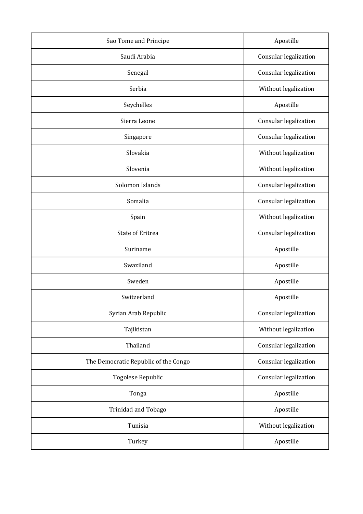| Sao Tome and Principe                | Apostille             |
|--------------------------------------|-----------------------|
| Saudi Arabia                         | Consular legalization |
| Senegal                              | Consular legalization |
| Serbia                               | Without legalization  |
| Seychelles                           | Apostille             |
| Sierra Leone                         | Consular legalization |
| Singapore                            | Consular legalization |
| Slovakia                             | Without legalization  |
| Slovenia                             | Without legalization  |
| Solomon Islands                      | Consular legalization |
| Somalia                              | Consular legalization |
| Spain                                | Without legalization  |
| <b>State of Eritrea</b>              | Consular legalization |
| Suriname                             | Apostille             |
| Swaziland                            | Apostille             |
| Sweden                               | Apostille             |
| Switzerland                          | Apostille             |
| Syrian Arab Republic                 | Consular legalization |
| Tajikistan                           | Without legalization  |
| Thailand                             | Consular legalization |
| The Democratic Republic of the Congo | Consular legalization |
| Togolese Republic                    | Consular legalization |
| Tonga                                | Apostille             |
| Trinidad and Tobago                  | Apostille             |
| Tunisia                              | Without legalization  |
| Turkey                               | Apostille             |